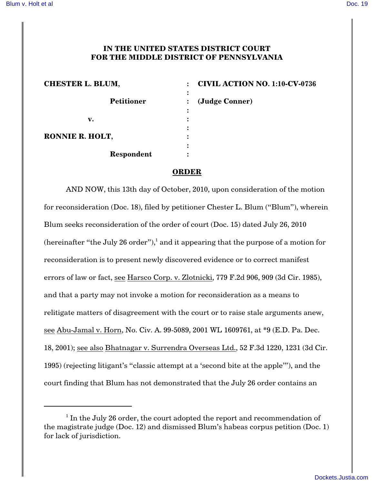## **IN THE UNITED STATES DISTRICT COURT FOR THE MIDDLE DISTRICT OF PENNSYLVANIA**

| <b>CHESTER L. BLUM,</b> | <b>CIVIL ACTION NO. 1:10-CV-0736</b> |
|-------------------------|--------------------------------------|
| <b>Petitioner</b>       | (Judge Conner)                       |
| v.                      |                                      |
| RONNIE R. HOLT,         | ٠                                    |
| Respondent              |                                      |

## **ORDER**

AND NOW, this 13th day of October, 2010, upon consideration of the motion for reconsideration (Doc. 18), filed by petitioner Chester L. Blum ("Blum"), wherein Blum seeks reconsideration of the order of court (Doc. 15) dated July 26, 2010 (hereinafter "the July 26 order"),<sup>1</sup> and it appearing that the purpose of a motion for reconsideration is to present newly discovered evidence or to correct manifest errors of law or fact, see Harsco Corp. v. Zlotnicki, 779 F.2d 906, 909 (3d Cir. 1985), and that a party may not invoke a motion for reconsideration as a means to relitigate matters of disagreement with the court or to raise stale arguments anew, see Abu-Jamal v. Horn, No. Civ. A. 99-5089, 2001 WL 1609761, at \*9 (E.D. Pa. Dec. 18, 2001); see also Bhatnagar v. Surrendra Overseas Ltd., 52 F.3d 1220, 1231 (3d Cir. 1995) (rejecting litigant's "classic attempt at a 'second bite at the apple'"), and the court finding that Blum has not demonstrated that the July 26 order contains an

 $1$  In the July 26 order, the court adopted the report and recommendation of the magistrate judge (Doc. 12) and dismissed Blum's habeas corpus petition (Doc. 1) for lack of jurisdiction.